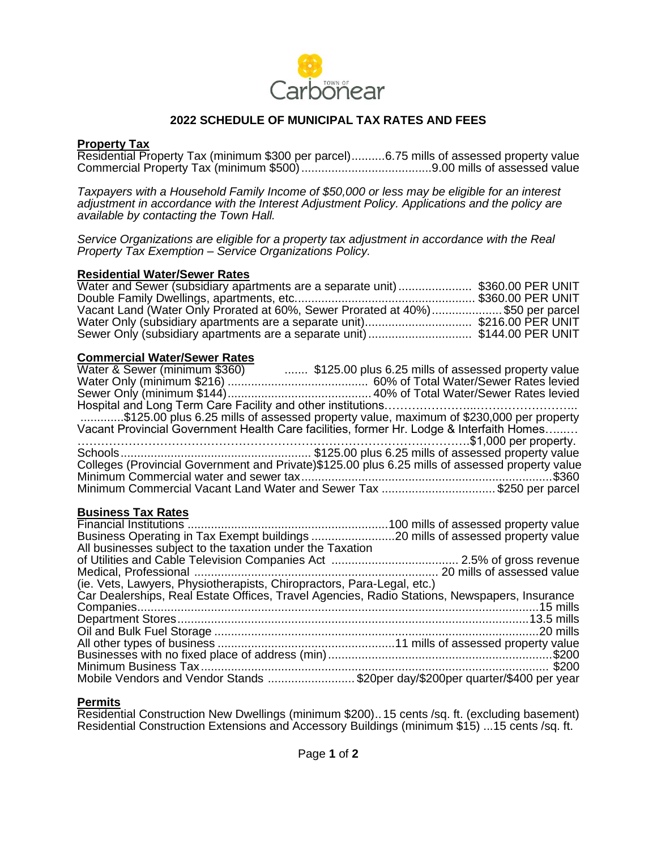

## **2022 SCHEDULE OF MUNICIPAL TAX RATES AND FEES**

### **Property Tax**

Residential Property Tax (minimum \$300 per parcel)..........6.75 mills of assessed property value Commercial Property Tax (minimum \$500).......................................9.00 mills of assessed value

*Taxpayers with a Household Family Income of \$50,000 or less may be eligible for an interest adjustment in accordance with the Interest Adjustment Policy. Applications and the policy are available by contacting the Town Hall.*

*Service Organizations are eligible for a property tax adjustment in accordance with the Real Property Tax Exemption – Service Organizations Policy.*

#### **Residential Water/Sewer Rates**

| Water and Sewer (subsidiary apartments are a separate unit)  \$360.00 PER UNIT |  |
|--------------------------------------------------------------------------------|--|
|                                                                                |  |
| Vacant Land (Water Only Prorated at 60%, Sewer Prorated at 40%)\$50 per parcel |  |
|                                                                                |  |
| Sewer Only (subsidiary apartments are a separate unit) \$144.00 PER UNIT       |  |

#### **Commercial Water/Sewer Rates**

| Water & Sewer (minimum \$360)  \$125.00 plus 6.25 mills of assessed property value              |
|-------------------------------------------------------------------------------------------------|
|                                                                                                 |
|                                                                                                 |
|                                                                                                 |
| \$125.00 plus 6.25 mills of assessed property value, maximum of \$230,000 per property          |
| Vacant Provincial Government Health Care facilities, former Hr. Lodge & Interfaith Homes        |
|                                                                                                 |
|                                                                                                 |
| Colleges (Provincial Government and Private)\$125.00 plus 6.25 mills of assessed property value |
|                                                                                                 |
| Minimum Commercial Vacant Land Water and Sewer Tax \$250 per parcel                             |

### **Business Tax Rates**

#### **Permits**

Residential Construction New Dwellings (minimum \$200)..15 cents /sq. ft. (excluding basement) Residential Construction Extensions and Accessory Buildings (minimum \$15) ... 15 cents /sq. ft.